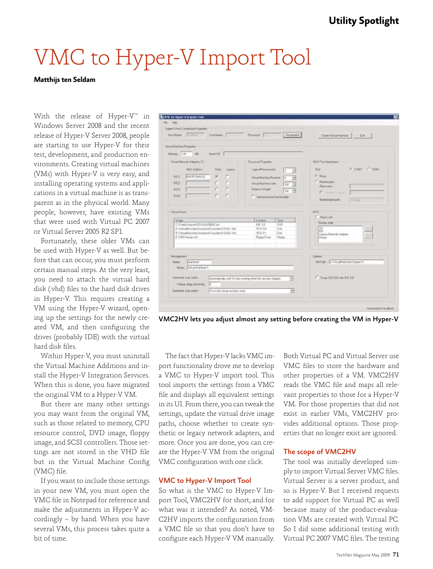# VMC to Hyper-V Import Tool

#### **Matthijs ten Seldam**

With the release of Hyper-V<sup>IM</sup> in Windows Server 2008 and the recent release of Hyper-V Server 2008, people are starting to use Hyper-V for their test, development, and production environments. Creating virtual machines (VMs) with Hyper-V is very easy, and installing operating systems and applications in a virtual machine is as transparent as in the physical world. Many people, however, have existing VMs that were used with Virtual PC 2007 or Virtual Server 2005 R2 SP1.

Fortunately, these older VMs can be used with Hyper-V as well. But before that can occur, you must perform certain manual steps. At the very least, you need to attach the virtual hard disk (.vhd) files to the hard disk drives in Hyper-V. This requires creating a VM using the Hyper-V wizard, opening up the settings for the newly created VM, and then configuring the drives (probably IDE) with the virtual hard disk files.

Within Hyper-V, you must uninstall the Virtual Machine Additions and install the Hyper-V Integration Services. When this is done, you have migrated the original VM to a Hyper-V VM.

But there are many other settings you may want from the original VM, such as those related to memory, CPU resource control, DVD image, floppy image, and SCSI controllers. Those settings are not stored in the VHD file but in the Virtual Machine Config (VMC) file.

If you want to include those settings in your new VM, you must open the VMC file in Notepad for reference and make the adjustments in Hyper-V accordingly – by hand. When you have several VMs, this process takes quite a bit of time.



VMC2HV lets you adjust almost any setting before creating the VM in Hyper-V

The fact that Hyper-V lacks VMC import functionality drove me to develop a VMC to Hyper-V import tool. This tool imports the settings from a VMC file and displays all equivalent settings in its UI. From there, you can tweak the settings, update the virtual drive image paths, choose whether to create synthetic or legacy network adapters, and more. Once you are done, you can create the Hyper-V VM from the original VMC configuration with one click.

### VMC to Hyper-V Import Tool

So what is the VMC to Hyper-V Import Tool, VMC2HV for short, and for what was it intended? As noted, VM-C2HV imports the configuration from a VMC file so that you don't have to configure each Hyper-V VM manually.

Both Virtual PC and Virtual Server use VMC files to store the hardware and other properties of a VM. VMC2HV reads the VMC file and maps all relevant properties to those for a Hyper-V VM. For those properties that did not exist in earlier VMs, VMC2HV provides additional options. Those properties that no longer exist are ignored.

## The scope of VMC2HV

The tool was initially developed simply to import Virtual Server VMC files. Virtual Server is a server product, and so is Hyper-V. But I received requests to add support for Virtual PC as well because many of the product-evaluation VMs are created with Virtual PC. So I did some additional testing with Virtual PC 2007 VMC files. The testing